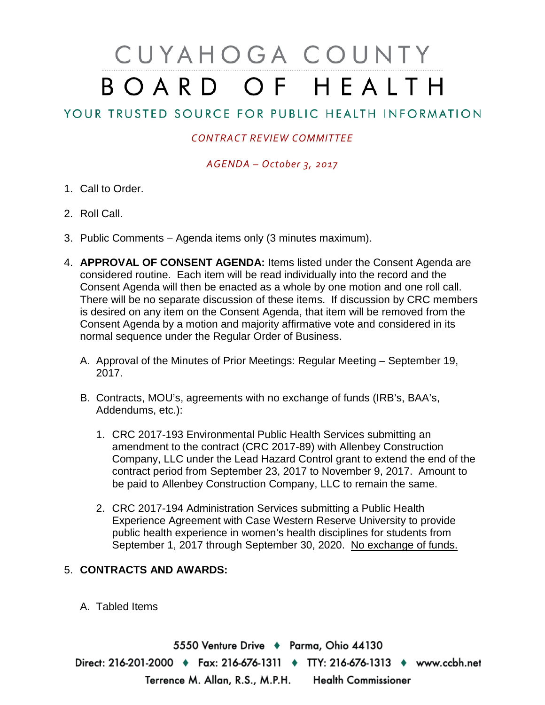# CUYAHOGA COUNTY BOARD OF HEALTH

## YOUR TRUSTED SOURCE FOR PUBLIC HEALTH INFORMATION

### *CONTRACT REVIEW COMMITTEE*

#### *AGENDA – October 3, 2017*

- 1. Call to Order.
- 2. Roll Call.
- 3. Public Comments Agenda items only (3 minutes maximum).
- 4. **APPROVAL OF CONSENT AGENDA:** Items listed under the Consent Agenda are considered routine. Each item will be read individually into the record and the Consent Agenda will then be enacted as a whole by one motion and one roll call. There will be no separate discussion of these items. If discussion by CRC members is desired on any item on the Consent Agenda, that item will be removed from the Consent Agenda by a motion and majority affirmative vote and considered in its normal sequence under the Regular Order of Business.
	- A. Approval of the Minutes of Prior Meetings: Regular Meeting September 19, 2017.
	- B. Contracts, MOU's, agreements with no exchange of funds (IRB's, BAA's, Addendums, etc.):
		- 1. CRC 2017-193 Environmental Public Health Services submitting an amendment to the contract (CRC 2017-89) with Allenbey Construction Company, LLC under the Lead Hazard Control grant to extend the end of the contract period from September 23, 2017 to November 9, 2017. Amount to be paid to Allenbey Construction Company, LLC to remain the same.
		- 2. CRC 2017-194 Administration Services submitting a Public Health Experience Agreement with Case Western Reserve University to provide public health experience in women's health disciplines for students from September 1, 2017 through September 30, 2020. No exchange of funds.

#### 5. **CONTRACTS AND AWARDS:**

#### A. Tabled Items

5550 Venture Drive + Parma, Ohio 44130 Direct: 216-201-2000 • Fax: 216-676-1311 • TTY: 216-676-1313 • www.ccbh.net Terrence M. Allan, R.S., M.P.H. Health Commissioner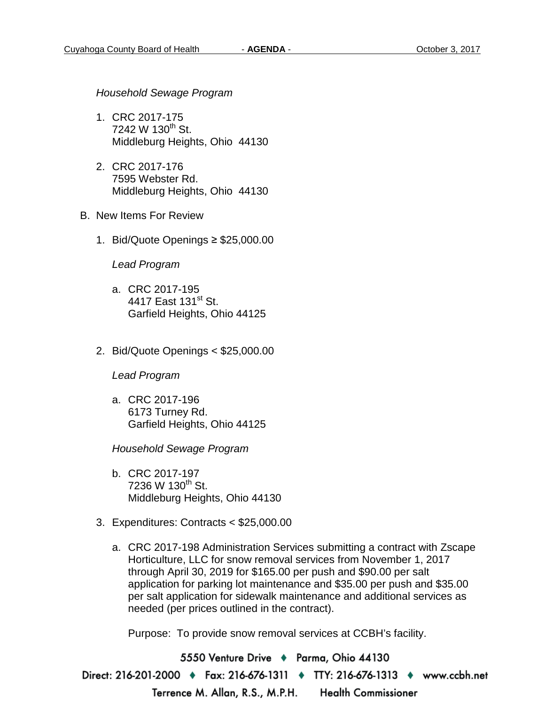*Household Sewage Program*

- 1. CRC 2017-175 7242 W 130<sup>th</sup> St. Middleburg Heights, Ohio 44130
- 2. CRC 2017-176 7595 Webster Rd. Middleburg Heights, Ohio 44130
- B. New Items For Review
	- 1. Bid/Quote Openings ≥ \$25,000.00

*Lead Program* 

- a. CRC 2017-195 4417 East 131<sup>st</sup> St. Garfield Heights, Ohio 44125
- 2. Bid/Quote Openings < \$25,000.00

*Lead Program* 

a. CRC 2017-196 6173 Turney Rd. Garfield Heights, Ohio 44125

*Household Sewage Program* 

- b. CRC 2017-197  $7236 \text{ W } 130^{\text{th}} \text{ St.}$ Middleburg Heights, Ohio 44130
- 3. Expenditures: Contracts < \$25,000.00
	- a. CRC 2017-198 Administration Services submitting a contract with Zscape Horticulture, LLC for snow removal services from November 1, 2017 through April 30, 2019 for \$165.00 per push and \$90.00 per salt application for parking lot maintenance and \$35.00 per push and \$35.00 per salt application for sidewalk maintenance and additional services as needed (per prices outlined in the contract).

Purpose: To provide snow removal services at CCBH's facility.

5550 Venture Drive → Parma, Ohio 44130 Direct: 216-201-2000 • Fax: 216-676-1311 • TTY: 216-676-1313 • www.ccbh.net Terrence M. Allan, R.S., M.P.H. **Health Commissioner**